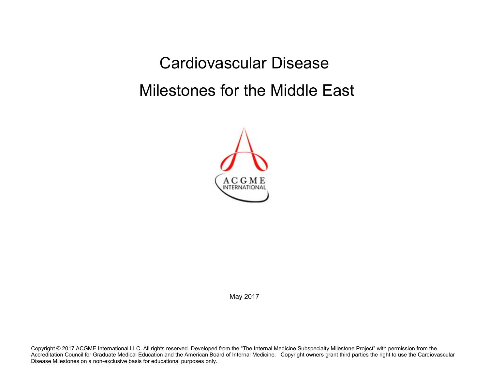Cardiovascular Disease Milestones for the Middle East



May 2017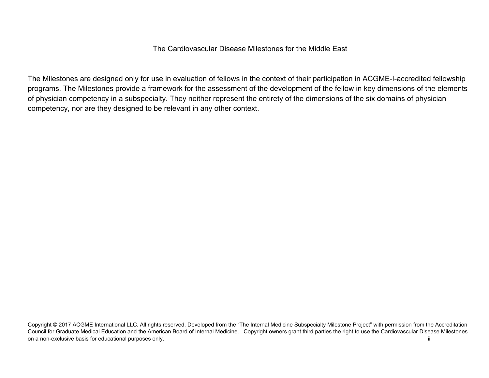The Cardiovascular Disease Milestones for the Middle East

The Milestones are designed only for use in evaluation of fellows in the context of their participation in ACGME-I-accredited fellowship programs. The Milestones provide a framework for the assessment of the development of the fellow in key dimensions of the elements of physician competency in a subspecialty. They neither represent the entirety of the dimensions of the six domains of physician competency, nor are they designed to be relevant in any other context.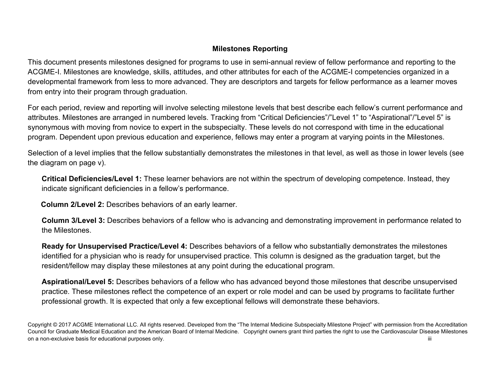## **Milestones Reporting**

This document presents milestones designed for programs to use in semi-annual review of fellow performance and reporting to the ACGME-I. Milestones are knowledge, skills, attitudes, and other attributes for each of the ACGME-I competencies organized in a developmental framework from less to more advanced. They are descriptors and targets for fellow performance as a learner moves from entry into their program through graduation.

For each period, review and reporting will involve selecting milestone levels that best describe each fellow's current performance and attributes. Milestones are arranged in numbered levels. Tracking from "Critical Deficiencies"/"Level 1" to "Aspirational"/"Level 5" is synonymous with moving from novice to expert in the subspecialty. These levels do not correspond with time in the educational program. Dependent upon previous education and experience, fellows may enter a program at varying points in the Milestones.

Selection of a level implies that the fellow substantially demonstrates the milestones in that level, as well as those in lower levels (see the diagram on page v).

**Critical Deficiencies/Level 1:** These learner behaviors are not within the spectrum of developing competence. Instead, they indicate significant deficiencies in a fellow's performance.

 **Column 2/Level 2:** Describes behaviors of an early learner.

**Column 3/Level 3:** Describes behaviors of a fellow who is advancing and demonstrating improvement in performance related to the Milestones.

**Ready for Unsupervised Practice/Level 4:** Describes behaviors of a fellow who substantially demonstrates the milestones identified for a physician who is ready for unsupervised practice. This column is designed as the graduation target, but the resident/fellow may display these milestones at any point during the educational program.

**Aspirational/Level 5:** Describes behaviors of a fellow who has advanced beyond those milestones that describe unsupervised practice. These milestones reflect the competence of an expert or role model and can be used by programs to facilitate further professional growth. It is expected that only a few exceptional fellows will demonstrate these behaviors.

Copyright © 2017 ACGME International LLC. All rights reserved. Developed from the "The Internal Medicine Subspecialty Milestone Project" with permission from the Accreditation Council for Graduate Medical Education and the American Board of Internal Medicine. Copyright owners grant third parties the right to use the Cardiovascular Disease Milestones on a non-exclusive basis for educational purposes only. **Example 20 and 20 and 20 and 20 and 20 and 20 and 20 and 20 and 20 and 20 and 20 and 20 and 20 and 20 and 20 and 20 and 20 and 20 and 20 and 20 and 20 and 20 and 20**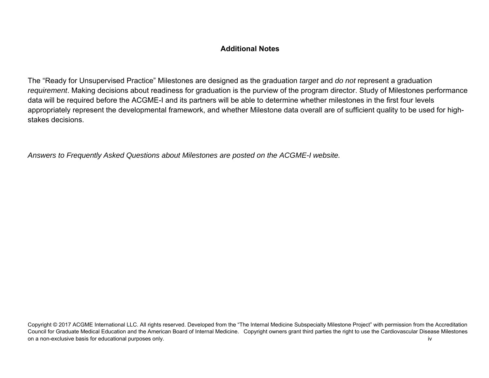## **Additional Notes**

The "Ready for Unsupervised Practice" Milestones are designed as the graduation *target* and *do not* represent a graduation *requirement*. Making decisions about readiness for graduation is the purview of the program director. Study of Milestones performance data will be required before the ACGME-I and its partners will be able to determine whether milestones in the first four levels appropriately represent the developmental framework, and whether Milestone data overall are of sufficient quality to be used for highstakes decisions.

*Answers to Frequently Asked Questions about Milestones are posted on the ACGME-I website.*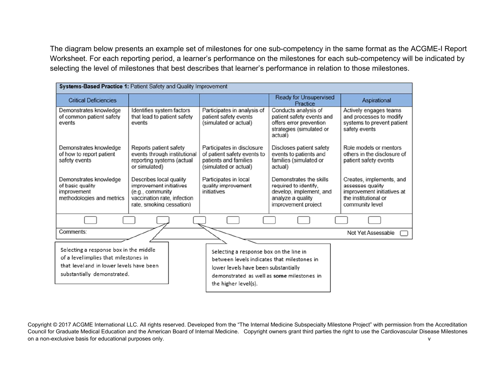The diagram below presents an example set of milestones for one sub-competency in the same format as the ACGME-I Report Worksheet. For each reporting period, a learner's performance on the milestones for each sub-competency will be indicated by selecting the level of milestones that best describes that learner's performance in relation to those milestones.

| Systems-Based Practice 1: Patient Safety and Quality Improvement                                                                                           |                                                                                                                                   |                                                                                                                                                                                                      |                                                                                                                         |                                                                                                                       |  |  |  |
|------------------------------------------------------------------------------------------------------------------------------------------------------------|-----------------------------------------------------------------------------------------------------------------------------------|------------------------------------------------------------------------------------------------------------------------------------------------------------------------------------------------------|-------------------------------------------------------------------------------------------------------------------------|-----------------------------------------------------------------------------------------------------------------------|--|--|--|
| <b>Critical Deficiencies</b>                                                                                                                               |                                                                                                                                   |                                                                                                                                                                                                      | <b>Ready for Unsupervised</b><br>Practice                                                                               | Aspirational                                                                                                          |  |  |  |
| Demonstrates knowledge<br>of common patient safety<br>events                                                                                               | Identifies system factors<br>that lead to patient safety<br>events                                                                | Participates in analysis of<br>patient safety events<br>(simulated or actual)                                                                                                                        | Conducts analysis of<br>patient safety events and<br>offers error prevention<br>strategies (simulated or<br>actual)     | Actively engages teams<br>and processes to modify<br>systems to prevent patient<br>safety events                      |  |  |  |
| Demonstrates knowledge<br>of how to report patient<br>safety events                                                                                        | Reports patient safety<br>events through institutional<br>reporting systems (actual<br>or simulated)                              | Participates in disclosure<br>of patient safety events to<br>patients and families<br>(simulated or actual)                                                                                          | Discloses patient safety<br>events to patients and<br>families (simulated or<br>actual)                                 | Role models or mentors<br>others in the disclosure of<br>patient safety events                                        |  |  |  |
| Demonstrates knowledge<br>of basic quality<br>improvement<br>methodologies and metrics                                                                     | Describes local quality<br>improvement initiatives<br>(e.g., community<br>vaccination rate, infection<br>rate, smoking cessation) | Participates in local<br>quality improvement<br>initiatives                                                                                                                                          | Demonstrates the skills<br>required to identify.<br>develop, implement, and<br>analyze a quality<br>improvement project | Creates, implements, and<br>assesses quality<br>improvement initiatives at<br>the institutional or<br>community level |  |  |  |
|                                                                                                                                                            |                                                                                                                                   |                                                                                                                                                                                                      |                                                                                                                         |                                                                                                                       |  |  |  |
| Comments:                                                                                                                                                  |                                                                                                                                   |                                                                                                                                                                                                      |                                                                                                                         | Not Yet Assessable                                                                                                    |  |  |  |
| Selecting a response box in the middle<br>of a level implies that milestones in<br>that level and in lower levels have been<br>substantially demonstrated. |                                                                                                                                   | Selecting a response box on the line in<br>between levels indicates that milestones in<br>lower levels have been substantially<br>demonstrated as well as some milestones in<br>the higher level(s). |                                                                                                                         |                                                                                                                       |  |  |  |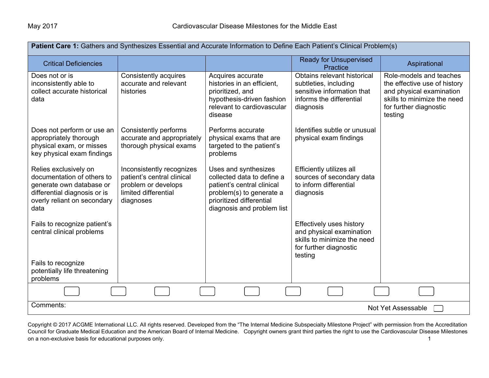| Patient Care 1: Gathers and Synthesizes Essential and Accurate Information to Define Each Patient's Clinical Problem(s)                                |                                                                                                                     |                                                                                                                                                                        |                                                                                                                             |                                                                                                                                                         |  |  |  |
|--------------------------------------------------------------------------------------------------------------------------------------------------------|---------------------------------------------------------------------------------------------------------------------|------------------------------------------------------------------------------------------------------------------------------------------------------------------------|-----------------------------------------------------------------------------------------------------------------------------|---------------------------------------------------------------------------------------------------------------------------------------------------------|--|--|--|
| <b>Critical Deficiencies</b>                                                                                                                           |                                                                                                                     |                                                                                                                                                                        | <b>Ready for Unsupervised</b><br>Practice                                                                                   | Aspirational                                                                                                                                            |  |  |  |
| Does not or is<br>inconsistently able to<br>collect accurate historical<br>data                                                                        | Consistently acquires<br>accurate and relevant<br>histories                                                         | Acquires accurate<br>histories in an efficient,<br>prioritized, and<br>hypothesis-driven fashion<br>relevant to cardiovascular<br>disease                              | Obtains relevant historical<br>subtleties, including<br>sensitive information that<br>informs the differential<br>diagnosis | Role-models and teaches<br>the effective use of history<br>and physical examination<br>skills to minimize the need<br>for further diagnostic<br>testing |  |  |  |
| Does not perform or use an<br>appropriately thorough<br>physical exam, or misses<br>key physical exam findings                                         | Consistently performs<br>accurate and appropriately<br>thorough physical exams                                      | Performs accurate<br>physical exams that are<br>targeted to the patient's<br>problems                                                                                  | Identifies subtle or unusual<br>physical exam findings                                                                      |                                                                                                                                                         |  |  |  |
| Relies exclusively on<br>documentation of others to<br>generate own database or<br>differential diagnosis or is<br>overly reliant on secondary<br>data | Inconsistently recognizes<br>patient's central clinical<br>problem or develops<br>limited differential<br>diagnoses | Uses and synthesizes<br>collected data to define a<br>patient's central clinical<br>problem(s) to generate a<br>prioritized differential<br>diagnosis and problem list | Efficiently utilizes all<br>sources of secondary data<br>to inform differential<br>diagnosis                                |                                                                                                                                                         |  |  |  |
| Fails to recognize patient's<br>central clinical problems                                                                                              |                                                                                                                     |                                                                                                                                                                        | Effectively uses history<br>and physical examination<br>skills to minimize the need<br>for further diagnostic<br>testing    |                                                                                                                                                         |  |  |  |
| Fails to recognize<br>potentially life threatening<br>problems                                                                                         |                                                                                                                     |                                                                                                                                                                        |                                                                                                                             |                                                                                                                                                         |  |  |  |
|                                                                                                                                                        |                                                                                                                     |                                                                                                                                                                        |                                                                                                                             |                                                                                                                                                         |  |  |  |
| Comments:                                                                                                                                              | Not Yet Assessable                                                                                                  |                                                                                                                                                                        |                                                                                                                             |                                                                                                                                                         |  |  |  |

Copyright © 2017 ACGME International LLC. All rights reserved. Developed from the "The Internal Medicine Subspecialty Milestone Project" with permission from the Accreditation Council for Graduate Medical Education and the American Board of Internal Medicine. Copyright owners grant third parties the right to use the Cardiovascular Disease Milestones on a non-exclusive basis for educational purposes only. The state of the state of the state of the state of the state of the state of the state of the state of the state of the state of the state of the state of the state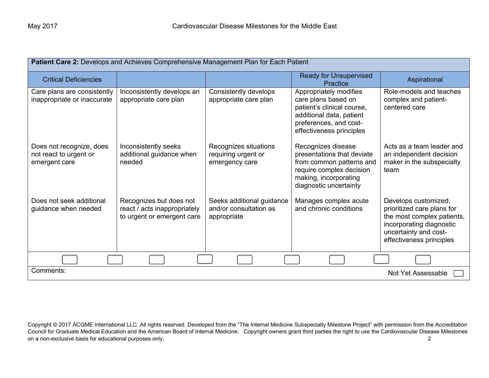| Patient Care 2: Develops and Achieves Comprehensive Management Plan for Each Patient |                                                                                       |                                                                    |                                                                                                                                                               |                                                                                                                                                                   |  |  |  |
|--------------------------------------------------------------------------------------|---------------------------------------------------------------------------------------|--------------------------------------------------------------------|---------------------------------------------------------------------------------------------------------------------------------------------------------------|-------------------------------------------------------------------------------------------------------------------------------------------------------------------|--|--|--|
| <b>Critical Deficiencies</b>                                                         |                                                                                       |                                                                    | <b>Ready for Unsupervised</b><br>Practice                                                                                                                     | Aspirational                                                                                                                                                      |  |  |  |
| Care plans are consistently<br>inappropriate or inaccurate                           | Inconsistently develops an<br>appropriate care plan                                   | Consistently develops<br>appropriate care plan                     | Appropriately modifies<br>care plans based on<br>patient's clinical course,<br>additional data, patient<br>preferences, and cost-<br>effectiveness principles | Role-models and teaches<br>complex and patient-<br>centered care                                                                                                  |  |  |  |
| Does not recognize, does<br>not react to urgent or<br>emergent care                  | Inconsistently seeks<br>additional guidance when<br>needed                            | Recognizes situations<br>requiring urgent or<br>emergency care     | Recognizes disease<br>presentations that deviate<br>from common patterns and<br>require complex decision<br>making, incorporating<br>diagnostic uncertainty   | Acts as a team leader and<br>an independent decision<br>maker in the subspecialty<br>team                                                                         |  |  |  |
| Does not seek additional<br>guidance when needed                                     | Recognizes but does not<br>react / acts inappropriately<br>to urgent or emergent care | Seeks additional guidance<br>and/or consultation as<br>appropriate | Manages complex acute<br>and chronic conditions                                                                                                               | Develops customized,<br>prioritized care plans for<br>the most complex patients,<br>incorporating diagnostic<br>uncertainty and cost-<br>effectiveness principles |  |  |  |
|                                                                                      |                                                                                       |                                                                    |                                                                                                                                                               |                                                                                                                                                                   |  |  |  |
| Comments:                                                                            |                                                                                       |                                                                    |                                                                                                                                                               | Not Yet Assessable                                                                                                                                                |  |  |  |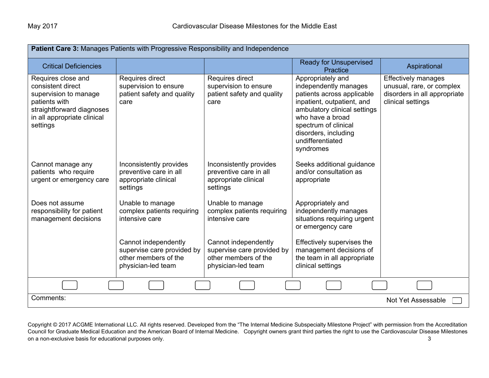| Patient Care 3: Manages Patients with Progressive Responsibility and Independence                                                                         |                                                                                                  |                                                                                                  |                                                                                                                                                                                                                                             |                                                                                                       |  |  |  |  |
|-----------------------------------------------------------------------------------------------------------------------------------------------------------|--------------------------------------------------------------------------------------------------|--------------------------------------------------------------------------------------------------|---------------------------------------------------------------------------------------------------------------------------------------------------------------------------------------------------------------------------------------------|-------------------------------------------------------------------------------------------------------|--|--|--|--|
| <b>Critical Deficiencies</b>                                                                                                                              |                                                                                                  |                                                                                                  | <b>Ready for Unsupervised</b><br>Practice                                                                                                                                                                                                   | Aspirational                                                                                          |  |  |  |  |
| Requires close and<br>consistent direct<br>supervision to manage<br>patients with<br>straightforward diagnoses<br>in all appropriate clinical<br>settings | Requires direct<br>supervision to ensure<br>patient safety and quality<br>care                   | Requires direct<br>supervision to ensure<br>patient safety and quality<br>care                   | Appropriately and<br>independently manages<br>patients across applicable<br>inpatient, outpatient, and<br>ambulatory clinical settings<br>who have a broad<br>spectrum of clinical<br>disorders, including<br>undifferentiated<br>syndromes | Effectively manages<br>unusual, rare, or complex<br>disorders in all appropriate<br>clinical settings |  |  |  |  |
| Cannot manage any<br>patients who require<br>urgent or emergency care                                                                                     | Inconsistently provides<br>preventive care in all<br>appropriate clinical<br>settings            | Inconsistently provides<br>preventive care in all<br>appropriate clinical<br>settings            | Seeks additional guidance<br>and/or consultation as<br>appropriate                                                                                                                                                                          |                                                                                                       |  |  |  |  |
| Does not assume<br>responsibility for patient<br>management decisions                                                                                     | Unable to manage<br>complex patients requiring<br>intensive care                                 | Unable to manage<br>complex patients requiring<br>intensive care                                 | Appropriately and<br>independently manages<br>situations requiring urgent<br>or emergency care                                                                                                                                              |                                                                                                       |  |  |  |  |
|                                                                                                                                                           | Cannot independently<br>supervise care provided by<br>other members of the<br>physician-led team | Cannot independently<br>supervise care provided by<br>other members of the<br>physician-led team | Effectively supervises the<br>management decisions of<br>the team in all appropriate<br>clinical settings                                                                                                                                   |                                                                                                       |  |  |  |  |
|                                                                                                                                                           |                                                                                                  |                                                                                                  |                                                                                                                                                                                                                                             |                                                                                                       |  |  |  |  |
| Comments:                                                                                                                                                 |                                                                                                  |                                                                                                  |                                                                                                                                                                                                                                             | Not Yet Assessable                                                                                    |  |  |  |  |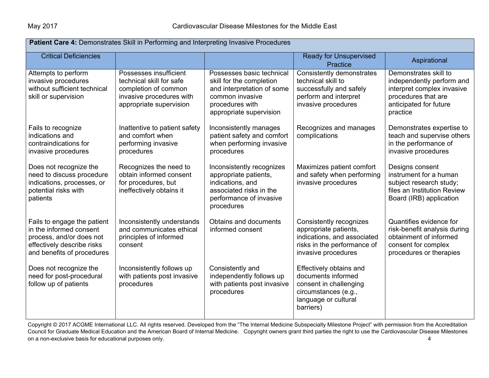| Patient Care 4: Demonstrates Skill in Performing and Interpreting Invasive Procedures                                                          |                                                                                                                                   |                                                                                                                                                      |                                                                                                                                       |                                                                                                                                               |  |  |  |
|------------------------------------------------------------------------------------------------------------------------------------------------|-----------------------------------------------------------------------------------------------------------------------------------|------------------------------------------------------------------------------------------------------------------------------------------------------|---------------------------------------------------------------------------------------------------------------------------------------|-----------------------------------------------------------------------------------------------------------------------------------------------|--|--|--|
| <b>Critical Deficiencies</b>                                                                                                                   |                                                                                                                                   |                                                                                                                                                      | <b>Ready for Unsupervised</b><br>Practice                                                                                             | Aspirational                                                                                                                                  |  |  |  |
| Attempts to perform<br>invasive procedures<br>without sufficient technical<br>skill or supervision                                             | Possesses insufficient<br>technical skill for safe<br>completion of common<br>invasive procedures with<br>appropriate supervision | Possesses basic technical<br>skill for the completion<br>and interpretation of some<br>common invasive<br>procedures with<br>appropriate supervision | Consistently demonstrates<br>technical skill to<br>successfully and safely<br>perform and interpret<br>invasive procedures            | Demonstrates skill to<br>independently perform and<br>interpret complex invasive<br>procedures that are<br>anticipated for future<br>practice |  |  |  |
| Fails to recognize<br>indications and<br>contraindications for<br>invasive procedures                                                          | Inattentive to patient safety<br>and comfort when<br>performing invasive<br>procedures                                            | Inconsistently manages<br>patient safety and comfort<br>when performing invasive<br>procedures                                                       | Recognizes and manages<br>complications                                                                                               | Demonstrates expertise to<br>teach and supervise others<br>in the performance of<br>invasive procedures                                       |  |  |  |
| Does not recognize the<br>need to discuss procedure<br>indications, processes, or<br>potential risks with<br>patients                          | Recognizes the need to<br>obtain informed consent<br>for procedures, but<br>ineffectively obtains it                              | Inconsistently recognizes<br>appropriate patients,<br>indications, and<br>associated risks in the<br>performance of invasive<br>procedures           | Maximizes patient comfort<br>and safety when performing<br>invasive procedures                                                        | Designs consent<br>instrument for a human<br>subject research study;<br>files an Institution Review<br>Board (IRB) application                |  |  |  |
| Fails to engage the patient<br>in the informed consent<br>process, and/or does not<br>effectively describe risks<br>and benefits of procedures | Inconsistently understands<br>and communicates ethical<br>principles of informed<br>consent                                       | Obtains and documents<br>informed consent                                                                                                            | Consistently recognizes<br>appropriate patients,<br>indications, and associated<br>risks in the performance of<br>invasive procedures | Quantifies evidence for<br>risk-benefit analysis during<br>obtainment of informed<br>consent for complex<br>procedures or therapies           |  |  |  |
| Does not recognize the<br>need for post-procedural<br>follow up of patients                                                                    | Inconsistently follows up<br>with patients post invasive<br>procedures                                                            | Consistently and<br>independently follows up<br>with patients post invasive<br>procedures                                                            | Effectively obtains and<br>documents informed<br>consent in challenging<br>circumstances (e.g.,<br>language or cultural<br>barriers)  |                                                                                                                                               |  |  |  |

Copyright © 2017 ACGME International LLC. All rights reserved. Developed from the "The Internal Medicine Subspecialty Milestone Project" with permission from the Accreditation Council for Graduate Medical Education and the American Board of Internal Medicine. Copyright owners grant third parties the right to use the Cardiovascular Disease Milestones on a non-exclusive basis for educational purposes only. And the state of the state of the state of the state of the state of the state of the state of the state of the state of the state of the state of the state of the st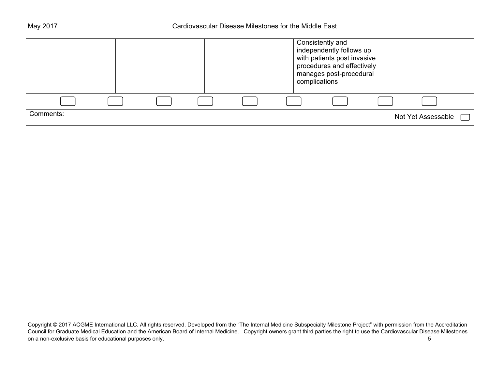|           |  |  | Consistently and<br>independently follows up<br>with patients post invasive<br>procedures and effectively<br>manages post-procedural<br>complications |                    |  |
|-----------|--|--|-------------------------------------------------------------------------------------------------------------------------------------------------------|--------------------|--|
|           |  |  |                                                                                                                                                       |                    |  |
| Comments: |  |  |                                                                                                                                                       | Not Yet Assessable |  |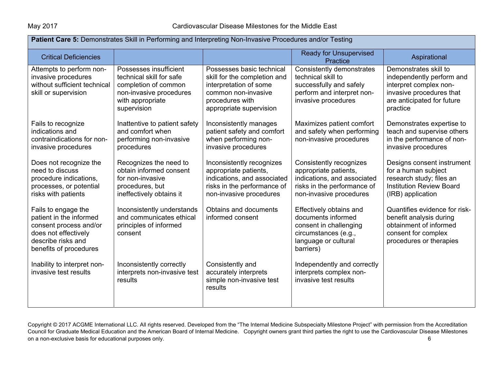| Patient Care 5: Demonstrates Skill in Performing and Interpreting Non-Invasive Procedures and/or Testing                                         |                                                                                                                                          |                                                                                                                                                          |                                                                                                                                           |                                                                                                                                                    |  |  |
|--------------------------------------------------------------------------------------------------------------------------------------------------|------------------------------------------------------------------------------------------------------------------------------------------|----------------------------------------------------------------------------------------------------------------------------------------------------------|-------------------------------------------------------------------------------------------------------------------------------------------|----------------------------------------------------------------------------------------------------------------------------------------------------|--|--|
| <b>Critical Deficiencies</b>                                                                                                                     |                                                                                                                                          |                                                                                                                                                          | <b>Ready for Unsupervised</b><br>Practice                                                                                                 | Aspirational                                                                                                                                       |  |  |
| Attempts to perform non-<br>invasive procedures<br>without sufficient technical<br>skill or supervision                                          | Possesses insufficient<br>technical skill for safe<br>completion of common<br>non-invasive procedures<br>with appropriate<br>supervision | Possesses basic technical<br>skill for the completion and<br>interpretation of some<br>common non-invasive<br>procedures with<br>appropriate supervision | Consistently demonstrates<br>technical skill to<br>successfully and safely<br>perform and interpret non-<br>invasive procedures           | Demonstrates skill to<br>independently perform and<br>interpret complex non-<br>invasive procedures that<br>are anticipated for future<br>practice |  |  |
| Fails to recognize<br>indications and<br>contraindications for non-<br>invasive procedures                                                       | Inattentive to patient safety<br>and comfort when<br>performing non-invasive<br>procedures                                               | Inconsistently manages<br>patient safety and comfort<br>when performing non-<br>invasive procedures                                                      | Maximizes patient comfort<br>and safety when performing<br>non-invasive procedures                                                        | Demonstrates expertise to<br>teach and supervise others<br>in the performance of non-<br>invasive procedures                                       |  |  |
| Does not recognize the<br>need to discuss<br>procedure indications,<br>processes, or potential<br>risks with patients                            | Recognizes the need to<br>obtain informed consent<br>for non-invasive<br>procedures, but<br>ineffectively obtains it                     | Inconsistently recognizes<br>appropriate patients,<br>indications, and associated<br>risks in the performance of<br>non-invasive procedures              | Consistently recognizes<br>appropriate patients,<br>indications, and associated<br>risks in the performance of<br>non-invasive procedures | Designs consent instrument<br>for a human subject<br>research study; files an<br><b>Institution Review Board</b><br>(IRB) application              |  |  |
| Fails to engage the<br>patient in the informed<br>consent process and/or<br>does not effectively<br>describe risks and<br>benefits of procedures | Inconsistently understands<br>and communicates ethical<br>principles of informed<br>consent                                              | Obtains and documents<br>informed consent                                                                                                                | Effectively obtains and<br>documents informed<br>consent in challenging<br>circumstances (e.g.,<br>language or cultural<br>barriers)      | Quantifies evidence for risk-<br>benefit analysis during<br>obtainment of informed<br>consent for complex<br>procedures or therapies               |  |  |
| Inability to interpret non-<br>invasive test results                                                                                             | Inconsistently correctly<br>interprets non-invasive test<br>results                                                                      | Consistently and<br>accurately interprets<br>simple non-invasive test<br>results                                                                         | Independently and correctly<br>interprets complex non-<br>invasive test results                                                           |                                                                                                                                                    |  |  |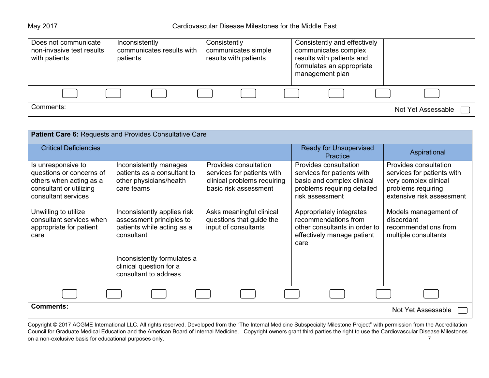May 2017 Cardiovascular Disease Milestones for the Middle East

| Does not communicate<br>non-invasive test results<br>with patients | Inconsistently<br>patients | communicates results with | Consistently<br>communicates simple<br>results with patients |  | Consistently and effectively<br>communicates complex<br>results with patients and<br>formulates an appropriate<br>management plan |  |                    |  |
|--------------------------------------------------------------------|----------------------------|---------------------------|--------------------------------------------------------------|--|-----------------------------------------------------------------------------------------------------------------------------------|--|--------------------|--|
|                                                                    |                            |                           |                                                              |  |                                                                                                                                   |  |                    |  |
| Comments:                                                          |                            |                           |                                                              |  |                                                                                                                                   |  | Not Yet Assessable |  |

| Patient Care 6: Requests and Provides Consultative Care                                                                     |                                                                                                     |                                                                                                             |                                                                                                                                     |                                                                                                                                 |  |  |  |
|-----------------------------------------------------------------------------------------------------------------------------|-----------------------------------------------------------------------------------------------------|-------------------------------------------------------------------------------------------------------------|-------------------------------------------------------------------------------------------------------------------------------------|---------------------------------------------------------------------------------------------------------------------------------|--|--|--|
| <b>Critical Deficiencies</b>                                                                                                |                                                                                                     |                                                                                                             | <b>Ready for Unsupervised</b><br>Practice                                                                                           | Aspirational                                                                                                                    |  |  |  |
| Is unresponsive to<br>questions or concerns of<br>others when acting as a<br>consultant or utilizing<br>consultant services | Inconsistently manages<br>patients as a consultant to<br>other physicians/health<br>care teams      | Provides consultation<br>services for patients with<br>clinical problems requiring<br>basic risk assessment | Provides consultation<br>services for patients with<br>basic and complex clinical<br>problems requiring detailed<br>risk assessment | Provides consultation<br>services for patients with<br>very complex clinical<br>problems requiring<br>extensive risk assessment |  |  |  |
| Unwilling to utilize<br>consultant services when<br>appropriate for patient<br>care                                         | Inconsistently applies risk<br>assessment principles to<br>patients while acting as a<br>consultant | Asks meaningful clinical<br>questions that guide the<br>input of consultants                                | Appropriately integrates<br>recommendations from<br>other consultants in order to<br>effectively manage patient<br>care             | Models management of<br>discordant<br>recommendations from<br>multiple consultants                                              |  |  |  |
|                                                                                                                             | Inconsistently formulates a<br>clinical question for a<br>consultant to address                     |                                                                                                             |                                                                                                                                     |                                                                                                                                 |  |  |  |
|                                                                                                                             |                                                                                                     |                                                                                                             |                                                                                                                                     |                                                                                                                                 |  |  |  |
| <b>Comments:</b>                                                                                                            |                                                                                                     |                                                                                                             |                                                                                                                                     | Not Yet Assessable                                                                                                              |  |  |  |

Copyright © 2017 ACGME International LLC. All rights reserved. Developed from the "The Internal Medicine Subspecialty Milestone Project" with permission from the Accreditation Council for Graduate Medical Education and the American Board of Internal Medicine. Copyright owners grant third parties the right to use the Cardiovascular Disease Milestones on a non-exclusive basis for educational purposes only. The contract of the contract of the contract of the contract of the contract of the contract of the contract of the contract of the contract of the contract of the co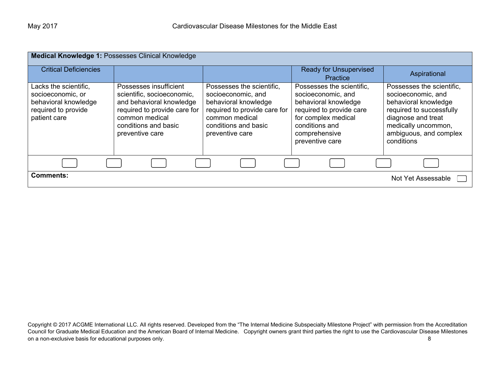| Medical Knowledge 1: Possesses Clinical Knowledge                                                         |                                                                                                                                                                               |                                                                                                                                                                      |                                                                                                                                                                                  |                                                                                                                                                                                          |  |  |  |  |
|-----------------------------------------------------------------------------------------------------------|-------------------------------------------------------------------------------------------------------------------------------------------------------------------------------|----------------------------------------------------------------------------------------------------------------------------------------------------------------------|----------------------------------------------------------------------------------------------------------------------------------------------------------------------------------|------------------------------------------------------------------------------------------------------------------------------------------------------------------------------------------|--|--|--|--|
| <b>Critical Deficiencies</b>                                                                              |                                                                                                                                                                               |                                                                                                                                                                      | <b>Ready for Unsupervised</b><br>Practice                                                                                                                                        | Aspirational                                                                                                                                                                             |  |  |  |  |
| Lacks the scientific,<br>socioeconomic, or<br>behavioral knowledge<br>required to provide<br>patient care | Possesses insufficient<br>scientific, socioeconomic,<br>and behavioral knowledge<br>required to provide care for<br>common medical<br>conditions and basic<br>preventive care | Possesses the scientific,<br>socioeconomic, and<br>behavioral knowledge<br>required to provide care for<br>common medical<br>conditions and basic<br>preventive care | Possesses the scientific,<br>socioeconomic, and<br>behavioral knowledge<br>required to provide care<br>for complex medical<br>conditions and<br>comprehensive<br>preventive care | Possesses the scientific,<br>socioeconomic, and<br>behavioral knowledge<br>required to successfully<br>diagnose and treat<br>medically uncommon,<br>ambiguous, and complex<br>conditions |  |  |  |  |
|                                                                                                           |                                                                                                                                                                               |                                                                                                                                                                      |                                                                                                                                                                                  |                                                                                                                                                                                          |  |  |  |  |
| <b>Comments:</b>                                                                                          |                                                                                                                                                                               |                                                                                                                                                                      |                                                                                                                                                                                  | Not Yet Assessable                                                                                                                                                                       |  |  |  |  |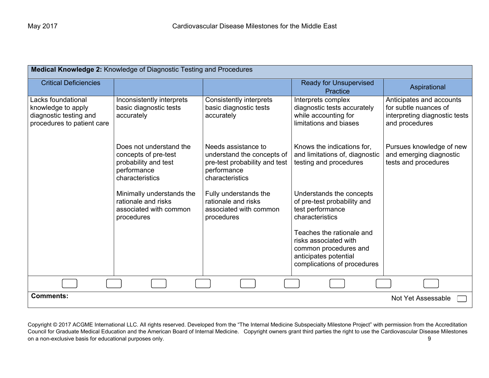| Medical Knowledge 2: Knowledge of Diagnostic Testing and Procedures                              |                                                                                                           |                                                                                                                      |                                                                                                                                     |                                                                                                      |  |  |  |  |
|--------------------------------------------------------------------------------------------------|-----------------------------------------------------------------------------------------------------------|----------------------------------------------------------------------------------------------------------------------|-------------------------------------------------------------------------------------------------------------------------------------|------------------------------------------------------------------------------------------------------|--|--|--|--|
| <b>Critical Deficiencies</b>                                                                     |                                                                                                           |                                                                                                                      | <b>Ready for Unsupervised</b><br>Practice                                                                                           | Aspirational                                                                                         |  |  |  |  |
| Lacks foundational<br>knowledge to apply<br>diagnostic testing and<br>procedures to patient care | Inconsistently interprets<br>basic diagnostic tests<br>accurately                                         | <b>Consistently interprets</b><br>basic diagnostic tests<br>accurately                                               | Interprets complex<br>diagnostic tests accurately<br>while accounting for<br>limitations and biases                                 | Anticipates and accounts<br>for subtle nuances of<br>interpreting diagnostic tests<br>and procedures |  |  |  |  |
|                                                                                                  | Does not understand the<br>concepts of pre-test<br>probability and test<br>performance<br>characteristics | Needs assistance to<br>understand the concepts of<br>pre-test probability and test<br>performance<br>characteristics | Knows the indications for,<br>and limitations of, diagnostic<br>testing and procedures                                              | Pursues knowledge of new<br>and emerging diagnostic<br>tests and procedures                          |  |  |  |  |
|                                                                                                  | Minimally understands the<br>rationale and risks<br>associated with common<br>procedures                  | Fully understands the<br>rationale and risks<br>associated with common<br>procedures                                 | Understands the concepts<br>of pre-test probability and<br>test performance<br>characteristics                                      |                                                                                                      |  |  |  |  |
|                                                                                                  |                                                                                                           |                                                                                                                      | Teaches the rationale and<br>risks associated with<br>common procedures and<br>anticipates potential<br>complications of procedures |                                                                                                      |  |  |  |  |
|                                                                                                  |                                                                                                           |                                                                                                                      |                                                                                                                                     |                                                                                                      |  |  |  |  |
| <b>Comments:</b>                                                                                 |                                                                                                           |                                                                                                                      |                                                                                                                                     | Not Yet Assessable                                                                                   |  |  |  |  |

Copyright © 2017 ACGME International LLC. All rights reserved. Developed from the "The Internal Medicine Subspecialty Milestone Project" with permission from the Accreditation Council for Graduate Medical Education and the American Board of Internal Medicine. Copyright owners grant third parties the right to use the Cardiovascular Disease Milestones on a non-exclusive basis for educational purposes only. **9** and the state of the state of the state of the state of the state of the state of the state of the state of the state of the state of the state of the state of th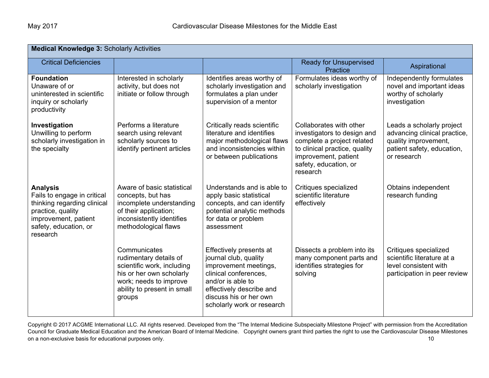| <b>Medical Knowledge 3: Scholarly Activities</b>                                                                                                                |                                                                                                                                                                     |                                                                                                                                                                                                             |                                                                                                                                                                                    |                                                                                                                                |  |  |  |
|-----------------------------------------------------------------------------------------------------------------------------------------------------------------|---------------------------------------------------------------------------------------------------------------------------------------------------------------------|-------------------------------------------------------------------------------------------------------------------------------------------------------------------------------------------------------------|------------------------------------------------------------------------------------------------------------------------------------------------------------------------------------|--------------------------------------------------------------------------------------------------------------------------------|--|--|--|
| <b>Critical Deficiencies</b>                                                                                                                                    |                                                                                                                                                                     |                                                                                                                                                                                                             | <b>Ready for Unsupervised</b><br><b>Practice</b>                                                                                                                                   | Aspirational                                                                                                                   |  |  |  |
| <b>Foundation</b><br>Unaware of or<br>uninterested in scientific<br>inquiry or scholarly<br>productivity                                                        | Interested in scholarly<br>activity, but does not<br>initiate or follow through                                                                                     | Identifies areas worthy of<br>scholarly investigation and<br>formulates a plan under<br>supervision of a mentor                                                                                             | Formulates ideas worthy of<br>scholarly investigation                                                                                                                              | Independently formulates<br>novel and important ideas<br>worthy of scholarly<br>investigation                                  |  |  |  |
| Investigation<br>Unwilling to perform<br>scholarly investigation in<br>the specialty                                                                            | Performs a literature<br>search using relevant<br>scholarly sources to<br>identify pertinent articles                                                               | Critically reads scientific<br>literature and identifies<br>major methodological flaws<br>and inconsistencies within<br>or between publications                                                             | Collaborates with other<br>investigators to design and<br>complete a project related<br>to clinical practice, quality<br>improvement, patient<br>safety, education, or<br>research | Leads a scholarly project<br>advancing clinical practice,<br>quality improvement,<br>patient safety, education,<br>or research |  |  |  |
| <b>Analysis</b><br>Fails to engage in critical<br>thinking regarding clinical<br>practice, quality<br>improvement, patient<br>safety, education, or<br>research | Aware of basic statistical<br>concepts, but has<br>incomplete understanding<br>of their application;<br>inconsistently identifies<br>methodological flaws           | Understands and is able to<br>apply basic statistical<br>concepts, and can identify<br>potential analytic methods<br>for data or problem<br>assessment                                                      | Critiques specialized<br>scientific literature<br>effectively                                                                                                                      | Obtains independent<br>research funding                                                                                        |  |  |  |
|                                                                                                                                                                 | Communicates<br>rudimentary details of<br>scientific work, including<br>his or her own scholarly<br>work; needs to improve<br>ability to present in small<br>groups | Effectively presents at<br>journal club, quality<br>improvement meetings,<br>clinical conferences.<br>and/or is able to<br>effectively describe and<br>discuss his or her own<br>scholarly work or research | Dissects a problem into its<br>many component parts and<br>identifies strategies for<br>solving                                                                                    | Critiques specialized<br>scientific literature at a<br>level consistent with<br>participation in peer review                   |  |  |  |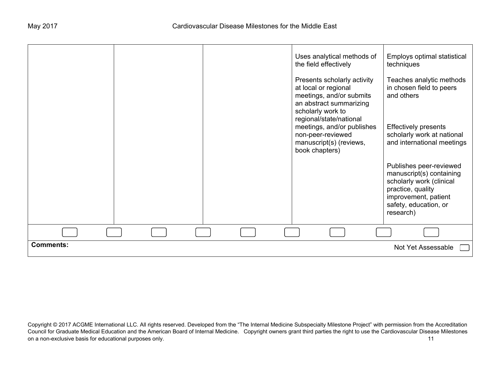|                  |  | Uses analytical methods of<br>the field effectively                                                                             | Employs optimal statistical<br>techniques                                                                                                                          |
|------------------|--|---------------------------------------------------------------------------------------------------------------------------------|--------------------------------------------------------------------------------------------------------------------------------------------------------------------|
|                  |  | Presents scholarly activity<br>at local or regional<br>meetings, and/or submits<br>an abstract summarizing<br>scholarly work to | Teaches analytic methods<br>in chosen field to peers<br>and others                                                                                                 |
|                  |  | regional/state/national<br>meetings, and/or publishes<br>non-peer-reviewed<br>manuscript(s) (reviews,<br>book chapters)         | <b>Effectively presents</b><br>scholarly work at national<br>and international meetings                                                                            |
|                  |  |                                                                                                                                 | Publishes peer-reviewed<br>manuscript(s) containing<br>scholarly work (clinical<br>practice, quality<br>improvement, patient<br>safety, education, or<br>research) |
|                  |  |                                                                                                                                 |                                                                                                                                                                    |
|                  |  |                                                                                                                                 |                                                                                                                                                                    |
| <b>Comments:</b> |  |                                                                                                                                 | Not Yet Assessable                                                                                                                                                 |

Copyright © 2017 ACGME International LLC. All rights reserved. Developed from the "The Internal Medicine Subspecialty Milestone Project" with permission from the Accreditation Council for Graduate Medical Education and the American Board of Internal Medicine. Copyright owners grant third parties the right to use the Cardiovascular Disease Milestones on a non-exclusive basis for educational purposes only. The contract of the contract of the contract of the contract of the contract of the contract of the contract of the contract of the contract of the contract of the co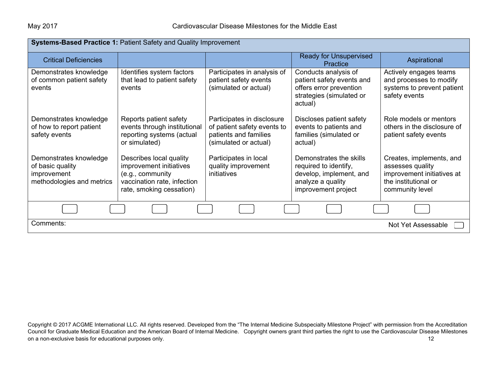| Systems-Based Practice 1: Patient Safety and Quality Improvement                       |                                                                                                                                   |                                                                                                             |                                                                                                                         |                                                                                                                       |
|----------------------------------------------------------------------------------------|-----------------------------------------------------------------------------------------------------------------------------------|-------------------------------------------------------------------------------------------------------------|-------------------------------------------------------------------------------------------------------------------------|-----------------------------------------------------------------------------------------------------------------------|
| <b>Critical Deficiencies</b>                                                           |                                                                                                                                   |                                                                                                             | <b>Ready for Unsupervised</b><br>Practice                                                                               | Aspirational                                                                                                          |
| Demonstrates knowledge<br>of common patient safety<br>events                           | Identifies system factors<br>that lead to patient safety<br>events                                                                | Participates in analysis of<br>patient safety events<br>(simulated or actual)                               | Conducts analysis of<br>patient safety events and<br>offers error prevention<br>strategies (simulated or<br>actual)     | Actively engages teams<br>and processes to modify<br>systems to prevent patient<br>safety events                      |
| Demonstrates knowledge<br>of how to report patient<br>safety events                    | Reports patient safety<br>events through institutional<br>reporting systems (actual<br>or simulated)                              | Participates in disclosure<br>of patient safety events to<br>patients and families<br>(simulated or actual) | Discloses patient safety<br>events to patients and<br>families (simulated or<br>actual)                                 | Role models or mentors<br>others in the disclosure of<br>patient safety events                                        |
| Demonstrates knowledge<br>of basic quality<br>improvement<br>methodologies and metrics | Describes local quality<br>improvement initiatives<br>(e.g., community<br>vaccination rate, infection<br>rate, smoking cessation) | Participates in local<br>quality improvement<br>initiatives                                                 | Demonstrates the skills<br>required to identify,<br>develop, implement, and<br>analyze a quality<br>improvement project | Creates, implements, and<br>assesses quality<br>improvement initiatives at<br>the institutional or<br>community level |
|                                                                                        |                                                                                                                                   |                                                                                                             |                                                                                                                         |                                                                                                                       |
| Comments:                                                                              |                                                                                                                                   |                                                                                                             |                                                                                                                         | Not Yet Assessable                                                                                                    |

Copyright © 2017 ACGME International LLC. All rights reserved. Developed from the "The Internal Medicine Subspecialty Milestone Project" with permission from the Accreditation Council for Graduate Medical Education and the American Board of Internal Medicine. Copyright owners grant third parties the right to use the Cardiovascular Disease Milestones on a non-exclusive basis for educational purposes only. The same of the state of the state of the state of the state of the state of the state of the state of the state of the state of the state of the state of the state o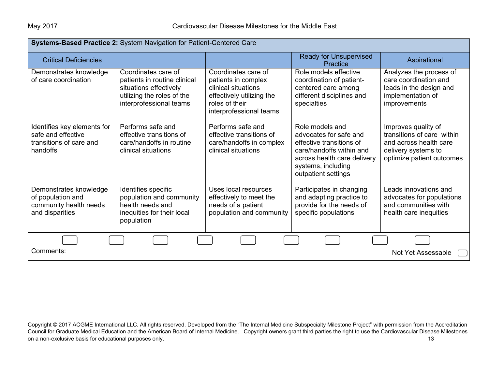| Systems-Based Practice 2: System Navigation for Patient-Centered Care                    |                                                                                                                                        |                                                                                                                                             |                                                                                                                                                                               |                                                                                                                                 |
|------------------------------------------------------------------------------------------|----------------------------------------------------------------------------------------------------------------------------------------|---------------------------------------------------------------------------------------------------------------------------------------------|-------------------------------------------------------------------------------------------------------------------------------------------------------------------------------|---------------------------------------------------------------------------------------------------------------------------------|
| <b>Critical Deficiencies</b>                                                             |                                                                                                                                        |                                                                                                                                             | <b>Ready for Unsupervised</b><br>Practice                                                                                                                                     | Aspirational                                                                                                                    |
| Demonstrates knowledge<br>of care coordination                                           | Coordinates care of<br>patients in routine clinical<br>situations effectively<br>utilizing the roles of the<br>interprofessional teams | Coordinates care of<br>patients in complex<br>clinical situations<br>effectively utilizing the<br>roles of their<br>interprofessional teams | Role models effective<br>coordination of patient-<br>centered care among<br>different disciplines and<br>specialties                                                          | Analyzes the process of<br>care coordination and<br>leads in the design and<br>implementation of<br>improvements                |
| Identifies key elements for<br>safe and effective<br>transitions of care and<br>handoffs | Performs safe and<br>effective transitions of<br>care/handoffs in routine<br>clinical situations                                       | Performs safe and<br>effective transitions of<br>care/handoffs in complex<br>clinical situations                                            | Role models and<br>advocates for safe and<br>effective transitions of<br>care/handoffs within and<br>across health care delivery<br>systems, including<br>outpatient settings | Improves quality of<br>transitions of care within<br>and across health care<br>delivery systems to<br>optimize patient outcomes |
| Demonstrates knowledge<br>of population and<br>community health needs<br>and disparities | Identifies specific<br>population and community<br>health needs and<br>inequities for their local<br>population                        | Uses local resources<br>effectively to meet the<br>needs of a patient<br>population and community                                           | Participates in changing<br>and adapting practice to<br>provide for the needs of<br>specific populations                                                                      | Leads innovations and<br>advocates for populations<br>and communities with<br>health care inequities                            |
|                                                                                          |                                                                                                                                        |                                                                                                                                             |                                                                                                                                                                               |                                                                                                                                 |
| Comments:<br>Not Yet Assessable                                                          |                                                                                                                                        |                                                                                                                                             |                                                                                                                                                                               |                                                                                                                                 |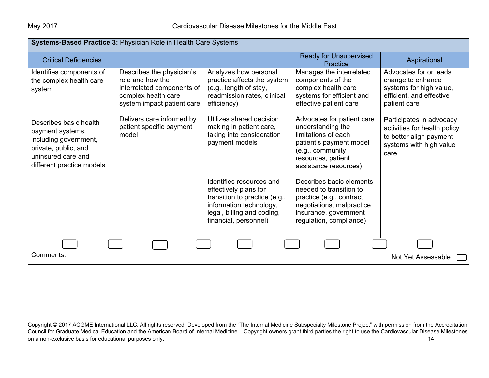| Systems-Based Practice 3: Physician Role in Health Care Systems                                                                                |                                                                                                                                  |                                                                                                                                                                      |                                                                                                                                                                      |                                                                                                                        |
|------------------------------------------------------------------------------------------------------------------------------------------------|----------------------------------------------------------------------------------------------------------------------------------|----------------------------------------------------------------------------------------------------------------------------------------------------------------------|----------------------------------------------------------------------------------------------------------------------------------------------------------------------|------------------------------------------------------------------------------------------------------------------------|
| <b>Critical Deficiencies</b>                                                                                                                   |                                                                                                                                  |                                                                                                                                                                      | <b>Ready for Unsupervised</b><br><b>Practice</b>                                                                                                                     | Aspirational                                                                                                           |
| Identifies components of<br>the complex health care<br>system                                                                                  | Describes the physician's<br>role and how the<br>interrelated components of<br>complex health care<br>system impact patient care | Analyzes how personal<br>practice affects the system<br>(e.g., length of stay,<br>readmission rates, clinical<br>efficiency)                                         | Manages the interrelated<br>components of the<br>complex health care<br>systems for efficient and<br>effective patient care                                          | Advocates for or leads<br>change to enhance<br>systems for high value,<br>efficient, and effective<br>patient care     |
| Describes basic health<br>payment systems,<br>including government,<br>private, public, and<br>uninsured care and<br>different practice models | Delivers care informed by<br>patient specific payment<br>model                                                                   | Utilizes shared decision<br>making in patient care,<br>taking into consideration<br>payment models                                                                   | Advocates for patient care<br>understanding the<br>limitations of each<br>patient's payment model<br>(e.g., community<br>resources, patient<br>assistance resources) | Participates in advocacy<br>activities for health policy<br>to better align payment<br>systems with high value<br>care |
|                                                                                                                                                |                                                                                                                                  | Identifies resources and<br>effectively plans for<br>transition to practice (e.g.,<br>information technology,<br>legal, billing and coding,<br>financial, personnel) | Describes basic elements<br>needed to transition to<br>practice (e.g., contract<br>negotiations, malpractice<br>insurance, government<br>regulation, compliance)     |                                                                                                                        |
|                                                                                                                                                |                                                                                                                                  |                                                                                                                                                                      |                                                                                                                                                                      |                                                                                                                        |
| Comments:<br>Not Yet Assessable                                                                                                                |                                                                                                                                  |                                                                                                                                                                      |                                                                                                                                                                      |                                                                                                                        |

Copyright © 2017 ACGME International LLC. All rights reserved. Developed from the "The Internal Medicine Subspecialty Milestone Project" with permission from the Accreditation Council for Graduate Medical Education and the American Board of Internal Medicine. Copyright owners grant third parties the right to use the Cardiovascular Disease Milestones on a non-exclusive basis for educational purposes only. The same of the state of the state of the state of the state of the state of the state of the state of the state of the state of the state of the state of the state o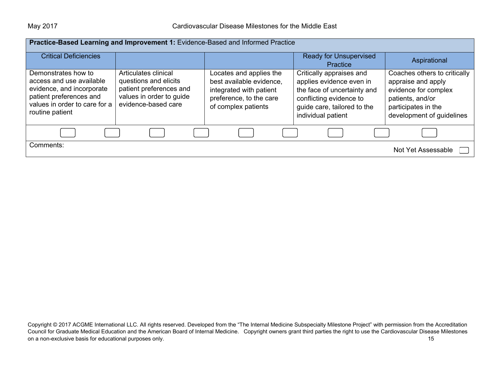| Practice-Based Learning and Improvement 1: Evidence-Based and Informed Practice                                                                             |                                                                                                                             |                                                                                                                                  |                                                                                                                                                                     |                                                                                                                                                    |
|-------------------------------------------------------------------------------------------------------------------------------------------------------------|-----------------------------------------------------------------------------------------------------------------------------|----------------------------------------------------------------------------------------------------------------------------------|---------------------------------------------------------------------------------------------------------------------------------------------------------------------|----------------------------------------------------------------------------------------------------------------------------------------------------|
| <b>Critical Deficiencies</b>                                                                                                                                |                                                                                                                             |                                                                                                                                  | <b>Ready for Unsupervised</b><br>Practice                                                                                                                           | Aspirational                                                                                                                                       |
| Demonstrates how to<br>access and use available<br>evidence, and incorporate<br>patient preferences and<br>values in order to care for a<br>routine patient | Articulates clinical<br>questions and elicits<br>patient preferences and<br>values in order to guide<br>evidence-based care | Locates and applies the<br>best available evidence,<br>integrated with patient<br>preference, to the care<br>of complex patients | Critically appraises and<br>applies evidence even in<br>the face of uncertainty and<br>conflicting evidence to<br>guide care, tailored to the<br>individual patient | Coaches others to critically<br>appraise and apply<br>evidence for complex<br>patients, and/or<br>participates in the<br>development of guidelines |
|                                                                                                                                                             |                                                                                                                             |                                                                                                                                  |                                                                                                                                                                     |                                                                                                                                                    |
| Comments:                                                                                                                                                   |                                                                                                                             |                                                                                                                                  |                                                                                                                                                                     | Not Yet Assessable                                                                                                                                 |

Copyright © 2017 ACGME International LLC. All rights reserved. Developed from the "The Internal Medicine Subspecialty Milestone Project" with permission from the Accreditation Council for Graduate Medical Education and the American Board of Internal Medicine. Copyright owners grant third parties the right to use the Cardiovascular Disease Milestones on a non-exclusive basis for educational purposes only. The same of the state of the state of the state of the state of the state of the state of the state of the state of the state of the state of the state of the state o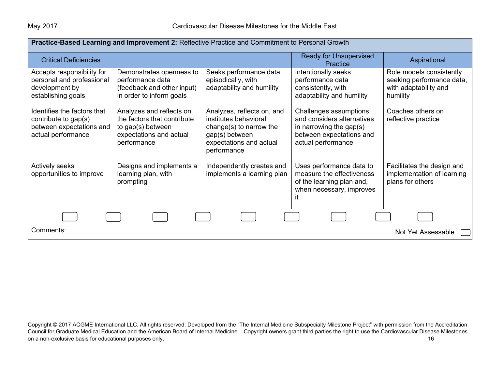| Practice-Based Learning and Improvement 2: Reflective Practice and Commitment to Personal Growth      |                                                                                                                        |                                                                                                                                            |                                                                                                                                   |                                                                                            |
|-------------------------------------------------------------------------------------------------------|------------------------------------------------------------------------------------------------------------------------|--------------------------------------------------------------------------------------------------------------------------------------------|-----------------------------------------------------------------------------------------------------------------------------------|--------------------------------------------------------------------------------------------|
| <b>Critical Deficiencies</b>                                                                          |                                                                                                                        |                                                                                                                                            | <b>Ready for Unsupervised</b><br>Practice                                                                                         | Aspirational                                                                               |
| Accepts responsibility for<br>personal and professional<br>development by<br>establishing goals       | Demonstrates openness to<br>performance data<br>(feedback and other input)<br>in order to inform goals                 | Seeks performance data<br>episodically, with<br>adaptability and humility                                                                  | Intentionally seeks<br>performance data<br>consistently, with<br>adaptability and humility                                        | Role models consistently<br>seeking performance data,<br>with adaptability and<br>humility |
| Identifies the factors that<br>contribute to gap(s)<br>between expectations and<br>actual performance | Analyzes and reflects on<br>the factors that contribute<br>to gap(s) between<br>expectations and actual<br>performance | Analyzes, reflects on, and<br>institutes behavioral<br>change(s) to narrow the<br>gap(s) between<br>expectations and actual<br>performance | Challenges assumptions<br>and considers alternatives<br>in narrowing the gap(s)<br>between expectations and<br>actual performance | Coaches others on<br>reflective practice                                                   |
| <b>Actively seeks</b><br>opportunities to improve                                                     | Designs and implements a<br>learning plan, with<br>prompting                                                           | Independently creates and<br>implements a learning plan                                                                                    | Uses performance data to<br>measure the effectiveness<br>of the learning plan and,<br>when necessary, improves                    | Facilitates the design and<br>implementation of learning<br>plans for others               |
|                                                                                                       |                                                                                                                        |                                                                                                                                            |                                                                                                                                   |                                                                                            |
| Comments:<br>Not Yet Assessable                                                                       |                                                                                                                        |                                                                                                                                            |                                                                                                                                   |                                                                                            |

Copyright © 2017 ACGME International LLC. All rights reserved. Developed from the "The Internal Medicine Subspecialty Milestone Project" with permission from the Accreditation Council for Graduate Medical Education and the American Board of Internal Medicine. Copyright owners grant third parties the right to use the Cardiovascular Disease Milestones on a non-exclusive basis for educational purposes only. The contract of the contract of the contract of the contract of the contract of the contract of the contract of the contract of the contract of the contract of the co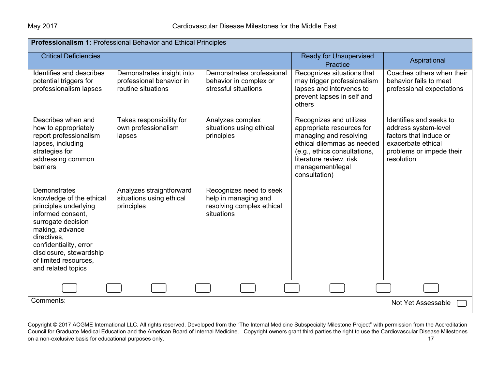| <b>Professionalism 1: Professional Behavior and Ethical Principles</b>                                                                                                                                                                             |                                                                             |                                                                                            |                                                                                                                                                                                                              |                                                                                                                                           |
|----------------------------------------------------------------------------------------------------------------------------------------------------------------------------------------------------------------------------------------------------|-----------------------------------------------------------------------------|--------------------------------------------------------------------------------------------|--------------------------------------------------------------------------------------------------------------------------------------------------------------------------------------------------------------|-------------------------------------------------------------------------------------------------------------------------------------------|
| <b>Critical Deficiencies</b>                                                                                                                                                                                                                       |                                                                             |                                                                                            | <b>Ready for Unsupervised</b><br>Practice                                                                                                                                                                    | Aspirational                                                                                                                              |
| Identifies and describes<br>potential triggers for<br>professionalism lapses                                                                                                                                                                       | Demonstrates insight into<br>professional behavior in<br>routine situations | Demonstrates professional<br>behavior in complex or<br>stressful situations                | Recognizes situations that<br>may trigger professionalism<br>lapses and intervenes to<br>prevent lapses in self and<br>others                                                                                | Coaches others when their<br>behavior fails to meet<br>professional expectations                                                          |
| Describes when and<br>how to appropriately<br>report professionalism<br>lapses, including<br>strategies for<br>addressing common<br>barriers                                                                                                       | Takes responsibility for<br>own professionalism<br>lapses                   | Analyzes complex<br>situations using ethical<br>principles                                 | Recognizes and utilizes<br>appropriate resources for<br>managing and resolving<br>ethical dilemmas as needed<br>(e.g., ethics consultations,<br>literature review, risk<br>management/legal<br>consultation) | Identifies and seeks to<br>address system-level<br>factors that induce or<br>exacerbate ethical<br>problems or impede their<br>resolution |
| Demonstrates<br>knowledge of the ethical<br>principles underlying<br>informed consent,<br>surrogate decision<br>making, advance<br>directives,<br>confidentiality, error<br>disclosure, stewardship<br>of limited resources,<br>and related topics | Analyzes straightforward<br>situations using ethical<br>principles          | Recognizes need to seek<br>help in managing and<br>resolving complex ethical<br>situations |                                                                                                                                                                                                              |                                                                                                                                           |
|                                                                                                                                                                                                                                                    |                                                                             |                                                                                            |                                                                                                                                                                                                              |                                                                                                                                           |
| Comments:<br>Not Yet Assessable                                                                                                                                                                                                                    |                                                                             |                                                                                            |                                                                                                                                                                                                              |                                                                                                                                           |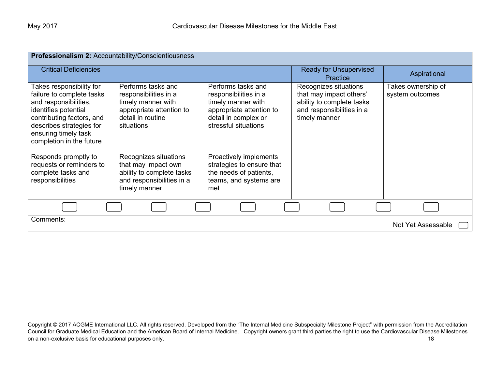| Professionalism 2: Accountability/Conscientiousness                                                                                                                                                                 |                                                                                                                                  |                                                                                                                                               |                                                                                                                             |                                       |
|---------------------------------------------------------------------------------------------------------------------------------------------------------------------------------------------------------------------|----------------------------------------------------------------------------------------------------------------------------------|-----------------------------------------------------------------------------------------------------------------------------------------------|-----------------------------------------------------------------------------------------------------------------------------|---------------------------------------|
| <b>Critical Deficiencies</b>                                                                                                                                                                                        |                                                                                                                                  |                                                                                                                                               | <b>Ready for Unsupervised</b><br>Practice                                                                                   | Aspirational                          |
| Takes responsibility for<br>failure to complete tasks<br>and responsibilities,<br>identifies potential<br>contributing factors, and<br>describes strategies for<br>ensuring timely task<br>completion in the future | Performs tasks and<br>responsibilities in a<br>timely manner with<br>appropriate attention to<br>detail in routine<br>situations | Performs tasks and<br>responsibilities in a<br>timely manner with<br>appropriate attention to<br>detail in complex or<br>stressful situations | Recognizes situations<br>that may impact others'<br>ability to complete tasks<br>and responsibilities in a<br>timely manner | Takes ownership of<br>system outcomes |
| Responds promptly to<br>requests or reminders to<br>complete tasks and<br>responsibilities                                                                                                                          | Recognizes situations<br>that may impact own<br>ability to complete tasks<br>and responsibilities in a<br>timely manner          | Proactively implements<br>strategies to ensure that<br>the needs of patients,<br>teams, and systems are<br>met                                |                                                                                                                             |                                       |
|                                                                                                                                                                                                                     |                                                                                                                                  |                                                                                                                                               |                                                                                                                             |                                       |
| Comments:<br>Not Yet Assessable                                                                                                                                                                                     |                                                                                                                                  |                                                                                                                                               |                                                                                                                             |                                       |

Copyright © 2017 ACGME International LLC. All rights reserved. Developed from the "The Internal Medicine Subspecialty Milestone Project" with permission from the Accreditation Council for Graduate Medical Education and the American Board of Internal Medicine. Copyright owners grant third parties the right to use the Cardiovascular Disease Milestones on a non-exclusive basis for educational purposes only. The same of the same of the same of the same of the same of the same of the same of the same of the same of the same of the same of the same of the same of the same o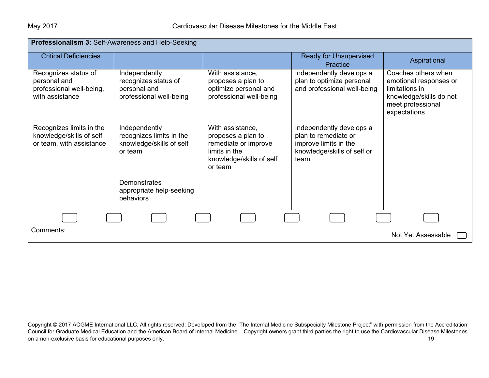| Professionalism 3: Self-Awareness and Help-Seeking                                  |                                                                                  |                                                                                                                        |                                                                                                                  |                                                                                                                                 |
|-------------------------------------------------------------------------------------|----------------------------------------------------------------------------------|------------------------------------------------------------------------------------------------------------------------|------------------------------------------------------------------------------------------------------------------|---------------------------------------------------------------------------------------------------------------------------------|
| <b>Critical Deficiencies</b>                                                        |                                                                                  |                                                                                                                        | <b>Ready for Unsupervised</b><br>Practice                                                                        | Aspirational                                                                                                                    |
| Recognizes status of<br>personal and<br>professional well-being,<br>with assistance | Independently<br>recognizes status of<br>personal and<br>professional well-being | With assistance,<br>proposes a plan to<br>optimize personal and<br>professional well-being                             | Independently develops a<br>plan to optimize personal<br>and professional well-being                             | Coaches others when<br>emotional responses or<br>limitations in<br>knowledge/skills do not<br>meet professional<br>expectations |
| Recognizes limits in the<br>knowledge/skills of self<br>or team, with assistance    | Independently<br>recognizes limits in the<br>knowledge/skills of self<br>or team | With assistance,<br>proposes a plan to<br>remediate or improve<br>limits in the<br>knowledge/skills of self<br>or team | Independently develops a<br>plan to remediate or<br>improve limits in the<br>knowledge/skills of self or<br>team |                                                                                                                                 |
|                                                                                     | Demonstrates<br>appropriate help-seeking<br>behaviors                            |                                                                                                                        |                                                                                                                  |                                                                                                                                 |
|                                                                                     |                                                                                  |                                                                                                                        |                                                                                                                  |                                                                                                                                 |
| Comments:                                                                           |                                                                                  |                                                                                                                        |                                                                                                                  | Not Yet Assessable                                                                                                              |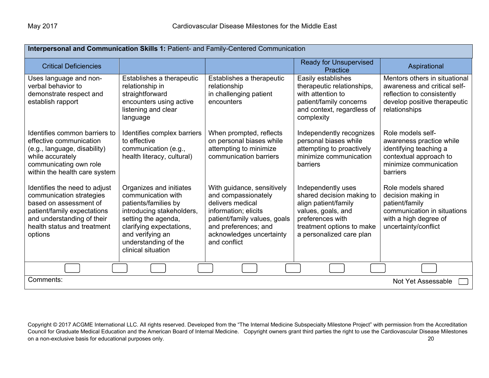| Interpersonal and Communication Skills 1: Patient- and Family-Centered Communication                                                                                                       |                                                                                                                                                                                                                         |                                                                                                                                                                                                   |                                                                                                                                                                            |                                                                                                                                              |  |
|--------------------------------------------------------------------------------------------------------------------------------------------------------------------------------------------|-------------------------------------------------------------------------------------------------------------------------------------------------------------------------------------------------------------------------|---------------------------------------------------------------------------------------------------------------------------------------------------------------------------------------------------|----------------------------------------------------------------------------------------------------------------------------------------------------------------------------|----------------------------------------------------------------------------------------------------------------------------------------------|--|
| <b>Critical Deficiencies</b>                                                                                                                                                               |                                                                                                                                                                                                                         |                                                                                                                                                                                                   | <b>Ready for Unsupervised</b><br>Practice                                                                                                                                  | Aspirational                                                                                                                                 |  |
| Uses language and non-<br>verbal behavior to<br>demonstrate respect and<br>establish rapport                                                                                               | Establishes a therapeutic<br>relationship in<br>straightforward<br>encounters using active<br>listening and clear<br>language                                                                                           | Establishes a therapeutic<br>relationship<br>in challenging patient<br>encounters                                                                                                                 | Easily establishes<br>therapeutic relationships,<br>with attention to<br>patient/family concerns<br>and context, regardless of<br>complexity                               | Mentors others in situational<br>awareness and critical self-<br>reflection to consistently<br>develop positive therapeutic<br>relationships |  |
| Identifies common barriers to<br>effective communication<br>(e.g., language, disability)<br>while accurately<br>communicating own role<br>within the health care system                    | Identifies complex barriers<br>to effective<br>communication (e.g.,<br>health literacy, cultural)                                                                                                                       | When prompted, reflects<br>on personal biases while<br>attempting to minimize<br>communication barriers                                                                                           | Independently recognizes<br>personal biases while<br>attempting to proactively<br>minimize communication<br>barriers                                                       | Role models self-<br>awareness practice while<br>identifying teaching a<br>contextual approach to<br>minimize communication<br>barriers      |  |
| Identifies the need to adjust<br>communication strategies<br>based on assessment of<br>patient/family expectations<br>and understanding of their<br>health status and treatment<br>options | Organizes and initiates<br>communication with<br>patients/families by<br>introducing stakeholders,<br>setting the agenda,<br>clarifying expectations,<br>and verifying an<br>understanding of the<br>clinical situation | With guidance, sensitively<br>and compassionately<br>delivers medical<br>information; elicits<br>patient/family values, goals<br>and preferences; and<br>acknowledges uncertainty<br>and conflict | Independently uses<br>shared decision making to<br>align patient/family<br>values, goals, and<br>preferences with<br>treatment options to make<br>a personalized care plan | Role models shared<br>decision making in<br>patient/family<br>communication in situations<br>with a high degree of<br>uncertainty/conflict   |  |
|                                                                                                                                                                                            |                                                                                                                                                                                                                         |                                                                                                                                                                                                   |                                                                                                                                                                            |                                                                                                                                              |  |
| Comments:                                                                                                                                                                                  | Not Yet Assessable                                                                                                                                                                                                      |                                                                                                                                                                                                   |                                                                                                                                                                            |                                                                                                                                              |  |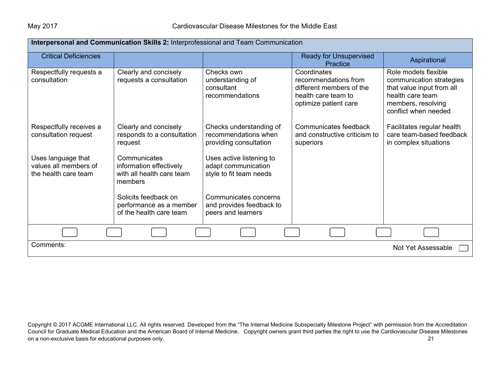| Interpersonal and Communication Skills 2: Interprofessional and Team Communication |                                                                                 |                                                                            |                                                                                                                 |                                                                                                                                                 |
|------------------------------------------------------------------------------------|---------------------------------------------------------------------------------|----------------------------------------------------------------------------|-----------------------------------------------------------------------------------------------------------------|-------------------------------------------------------------------------------------------------------------------------------------------------|
| <b>Critical Deficiencies</b>                                                       |                                                                                 |                                                                            | <b>Ready for Unsupervised</b><br>Practice                                                                       | Aspirational                                                                                                                                    |
| Respectfully requests a<br>consultation                                            | Clearly and concisely<br>requests a consultation                                | Checks own<br>understanding of<br>consultant<br>recommendations            | Coordinates<br>recommendations from<br>different members of the<br>health care team to<br>optimize patient care | Role models flexible<br>communication strategies<br>that value input from all<br>health care team<br>members, resolving<br>conflict when needed |
| Respectfully receives a<br>consultation request                                    | Clearly and concisely<br>responds to a consultation<br>request                  | Checks understanding of<br>recommendations when<br>providing consultation  | Communicates feedback<br>and constructive criticism to<br>superiors                                             | Facilitates regular health<br>care team-based feedback<br>in complex situations                                                                 |
| Uses language that<br>values all members of<br>the health care team                | Communicates<br>information effectively<br>with all health care team<br>members | Uses active listening to<br>adapt communication<br>style to fit team needs |                                                                                                                 |                                                                                                                                                 |
|                                                                                    | Solicits feedback on<br>performance as a member<br>of the health care team      | Communicates concerns<br>and provides feedback to<br>peers and learners    |                                                                                                                 |                                                                                                                                                 |
|                                                                                    |                                                                                 |                                                                            |                                                                                                                 |                                                                                                                                                 |
| Comments:<br>Not Yet Assessable                                                    |                                                                                 |                                                                            |                                                                                                                 |                                                                                                                                                 |